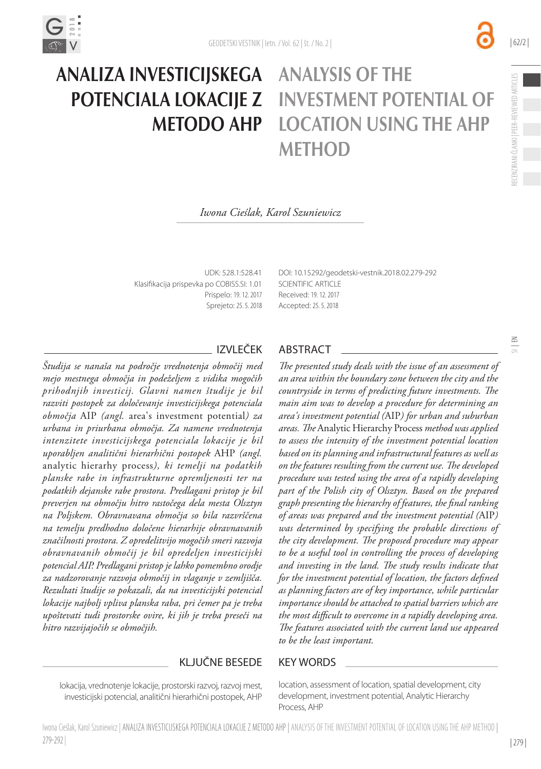

# Analiza investicijskega Analysis of the potenciala lokacije z investment potential of metodo AHP **DCATION USING THE AHP MFTHOD**

#### *Iwona Cieślak, Karol Szuniewicz*

UDK: 528.1:528.41 Klasifikacija prispevka po COBISS.SI: 1.01 Prispelo: 19. 12. 2017 Sprejeto: 25. 5. 2018 DOI: [10.15292/geodetski-vestnik.2018.02.](http://dx.doi.org/10.15292/geodetski-vestnik.2017.03.427-440)279-292 SCIENTIFIC ARTICLE Received: 19. 12. 2017 Accepted: 25. 5. 2018

*Študija se nanaša na področje vrednotenja območij med mejo mestnega območja in podeželjem z vidika mogočih prihodnjih investicij. Glavni namen študije je bil razviti postopek za določevanje investicijskega potenciala območja* AIP *(angl.* area's investment potential*) za urbana in priurbana območja. Za namene vrednotenja intenzitete investicijskega potenciala lokacije je bil uporabljen analitični hierarhični postopek* AHP *(angl.*  analytic hierarhy process*), ki temelji na podatkih planske rabe in infrastrukturne opremljenosti ter na podatkih dejanske rabe prostora. Predlagani pristop je bil preverjen na območju hitro rastočega dela mesta Olsztyn na Poljskem. Obravnavana območja so bila razvrščena na temelju predhodno določene hierarhije obravnavanih značilnosti prostora. Z opredelitvijo mogočih smeri razvoja obravnavanih območij je bil opredeljen investicijski potencial AIP. Predlagani pristop je lahko pomembno orodje za nadzorovanje razvoja območij in vlaganje v zemljišča. Rezultati študije so pokazali, da na investicijski potencial lokacije najbolj vpliva planska raba, pri čemer pa je treba upoštevati tudi prostorske ovire, ki jih je treba preseči na hitro razvijajočih se območjih.*

## IZVLEČEK ABSTRACT

*The presented study deals with the issue of an assessment of an area within the boundary zone between the city and the countryside in terms of predicting future investments. The main aim was to develop a procedure for determining an area's investment potential (*AIP*) for urban and suburban areas. The* Analytic Hierarchy Process *method was applied to assess the intensity of the investment potential location based on its planning and infrastructural features as well as on the features resulting from the current use. The developed procedure was tested using the area of a rapidly developing part of the Polish city of Olsztyn. Based on the prepared graph presenting the hierarchy of features, the final ranking of areas was prepared and the investment potential (*AIP*) was determined by specifying the probable directions of the city development. The proposed procedure may appear to be a useful tool in controlling the process of developing and investing in the land. The study results indicate that for the investment potential of location, the factors defined as planning factors are of key importance, while particular importance should be attached to spatial barriers which are the most difficult to overcome in a rapidly developing area. The features associated with the current land use appeared to be the least important.*

#### KLJUČNE BESEDE KEY WORDS

lokacija, vrednotenje lokacije, prostorski razvoj, razvoj mest, investicijski potencial, analitični hierarhični postopek, AHP

279-292 |

Iwona Cieślak, Karol Szuniewicz | ANALIZA INVESTICIJSKEGA POTENCIALA LOKACIJE Z METODO AHP | ANALYSIS OF THE INVESTMENT POTENTIAL OF LOCATION USING THE AHP METHOD |

location, assessment of location, spatial development, city development, investment potential, Analytic Hierarchy Process, AHP

 $\frac{3}{2}$ 

| 62/2 |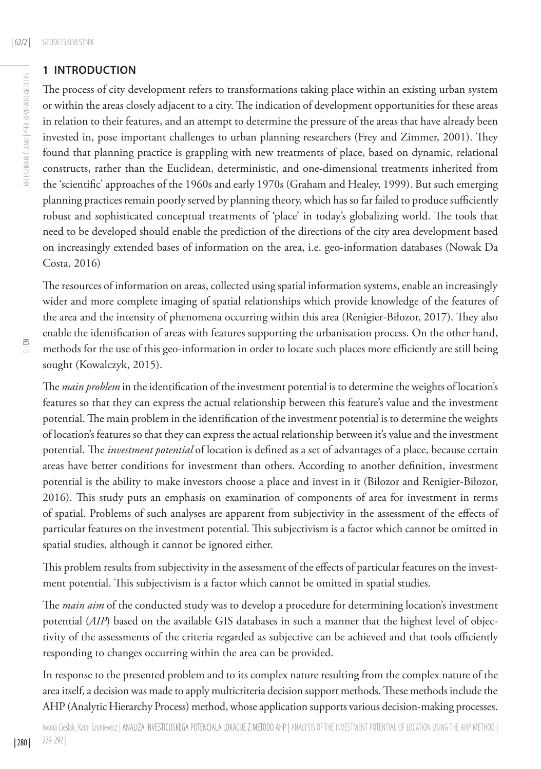# **1 INTRODUCTION**

The process of city development refers to transformations taking place within an existing urban system or within the areas closely adjacent to a city. The indication of development opportunities for these areas in relation to their features, and an attempt to determine the pressure of the areas that have already been invested in, pose important challenges to urban planning researchers (Frey and Zimmer, 2001). They found that planning practice is grappling with new treatments of place, based on dynamic, relational constructs, rather than the Euclidean, deterministic, and one-dimensional treatments inherited from the 'scientific' approaches of the 1960s and early 1970s (Graham and Healey, 1999). But such emerging planning practices remain poorly served by planning theory, which has so far failed to produce sufficiently robust and sophisticated conceptual treatments of 'place' in today's globalizing world. The tools that need to be developed should enable the prediction of the directions of the city area development based on increasingly extended bases of information on the area, i.e. geo-information databases (Nowak Da Costa, 2016)

The resources of information on areas, collected using spatial information systems, enable an increasingly wider and more complete imaging of spatial relationships which provide knowledge of the features of the area and the intensity of phenomena occurring within this area (Renigier-Biłozor, 2017). They also enable the identification of areas with features supporting the urbanisation process. On the other hand, methods for the use of this geo-information in order to locate such places more efficiently are still being sought (Kowalczyk, 2015).

The *main problem* in the identification of the investment potential is to determine the weights of location's features so that they can express the actual relationship between this feature's value and the investment potential. The main problem in the identification of the investment potential is to determine the weights of location's features so that they can express the actual relationship between it's value and the investment potential. The *investment potential* of location is defined as a set of advantages of a place, because certain areas have better conditions for investment than others. According to another definition, investment potential is the ability to make investors choose a place and invest in it (Biłozor and Renigier-Biłozor, 2016). This study puts an emphasis on examination of components of area for investment in terms of spatial. Problems of such analyses are apparent from subjectivity in the assessment of the effects of particular features on the investment potential. This subjectivism is a factor which cannot be omitted in spatial studies, although it cannot be ignored either.

This problem results from subjectivity in the assessment of the effects of particular features on the investment potential. This subjectivism is a factor which cannot be omitted in spatial studies.

The *main aim* of the conducted study was to develop a procedure for determining location's investment potential (*AIP*) based on the available GIS databases in such a manner that the highest level of objectivity of the assessments of the criteria regarded as subjective can be achieved and that tools efficiently responding to changes occurring within the area can be provided.

In response to the presented problem and to its complex nature resulting from the complex nature of the area itself, a decision was made to apply multicriteria decision support methods. These methods include the AHP (Analytic Hierarchy Process) method, whose application supports various decision-making processes.

| 280 |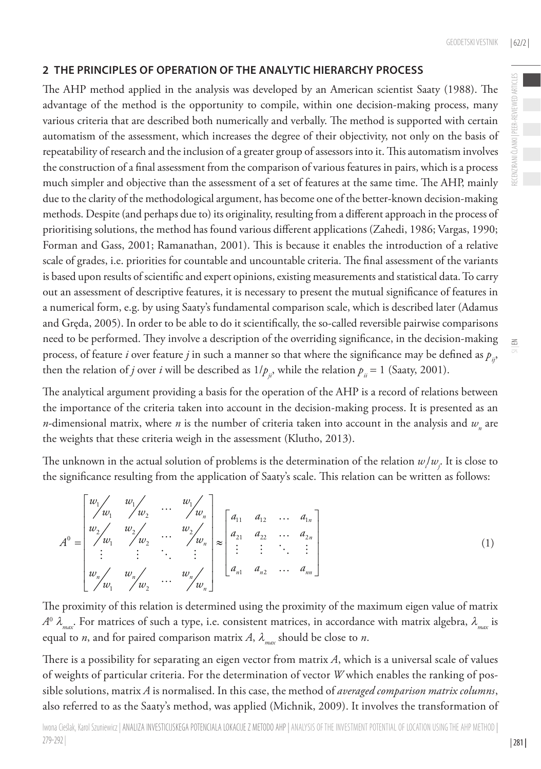## **2 THE PRINCIPLES OF OPERATION OF THE ANALYTIC HIERARCHY PROCESS**

The AHP method applied in the analysis was developed by an American scientist Saaty (1988). The advantage of the method is the opportunity to compile, within one decision-making process, many various criteria that are described both numerically and verbally. The method is supported with certain automatism of the assessment, which increases the degree of their objectivity, not only on the basis of repeatability of research and the inclusion of a greater group of assessors into it. This automatism involves the construction of a final assessment from the comparison of various features in pairs, which is a process much simpler and objective than the assessment of a set of features at the same time. The AHP, mainly due to the clarity of the methodological argument, has become one of the better-known decision-making methods. Despite (and perhaps due to) its originality, resulting from a different approach in the process of prioritising solutions, the method has found various different applications (Zahedi, 1986; Vargas, 1990; Forman and Gass, 2001; Ramanathan, 2001). This is because it enables the introduction of a relative scale of grades, i.e. priorities for countable and uncountable criteria. The final assessment of the variants is based upon results of scientific and expert opinions, existing measurements and statistical data. To carry out an assessment of descriptive features, it is necessary to present the mutual significance of features in a numerical form, e.g. by using Saaty's fundamental comparison scale, which is described later (Adamus and Gręda, 2005). In order to be able to do it scientifically, the so-called reversible pairwise comparisons need to be performed. They involve a description of the overriding significance, in the decision-making process, of feature *i* over feature *j* in such a manner so that where the significance may be defined as  $p_{i}$ , then the relation of *j* over *i* will be described as  $1/p_{ii}$ , while the relation  $p_{ii} = 1$  (Saaty, 2001).

The analytical argument providing a basis for the operation of the AHP is a record of relations between the importance of the criteria taken into account in the decision-making process. It is presented as an *n*-dimensional matrix, where *n* is the number of criteria taken into account in the analysis and  $w_{n}$  are the weights that these criteria weigh in the assessment (Klutho, 2013).

The unknown in the actual solution of problems is the determination of the relation  $w_j^{}w_j^{}$ . It is close to the significance resulting from the application of Saaty's scale. This relation can be written as follows:

$$
A^{0} = \begin{bmatrix} w_{1} & w_{1} & w_{1} & w_{2} & \cdots & w_{n} \\ w_{2} & w_{2} & w_{2} & \cdots & w_{2} \\ w_{3} & w_{3} & w_{3} & \cdots & w_{2} \\ \vdots & \vdots & \ddots & \vdots \\ w_{n} & w_{n} & w_{n} & \cdots & w_{n} \\ \end{bmatrix} \approx \begin{bmatrix} a_{11} & a_{12} & \cdots & a_{1n} \\ a_{21} & a_{22} & \cdots & a_{2n} \\ \vdots & \vdots & \ddots & \vdots \\ a_{n1} & a_{n2} & \cdots & a_{nn} \end{bmatrix}
$$
 (1)

The proximity of this relation is determined using the proximity of the maximum eigen value of matrix  $A^0$   $\lambda_{max}$ . For matrices of such a type, i.e. consistent matrices, in accordance with matrix algebra,  $\lambda_{max}$  is equal to *n*, and for paired comparison matrix *A*,  $\lambda_{max}$  should be close to *n*.

There is a possibility for separating an eigen vector from matrix *A*, which is a universal scale of values of weights of particular criteria. For the determination of vector *W* which enables the ranking of possible solutions, matrix *A* is normalised. In this case, the method of *averaged comparison matrix columns*, also referred to as the Saaty's method, was applied (Michnik, 2009). It involves the transformation of  $\leq$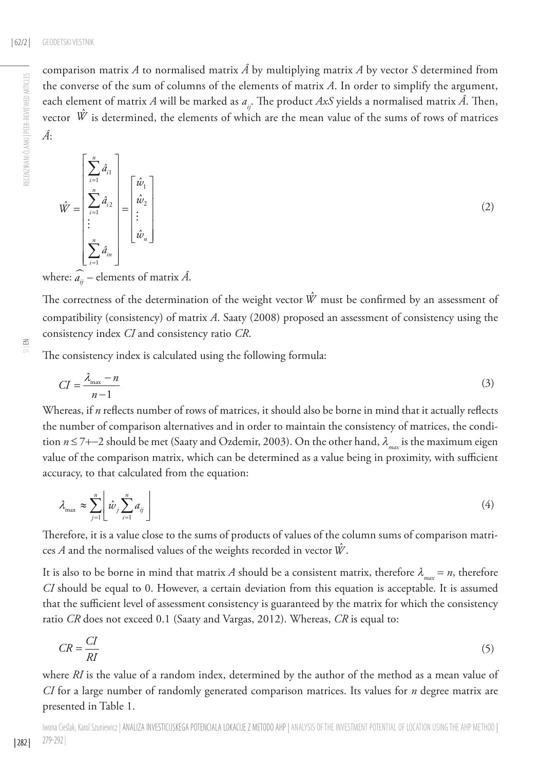RECENZIRANI ČLANKI | PEER-REVIEWED ARTICLES

RECENZIRANI ČLANKI | PEER-REVIEWED ARTICLES

comparison matrix *A* to normalised matrix  $\hat{A}$  by multiplying matrix *A* by vector *S* determined from the converse of the sum of columns of the elements of matrix *A*. In order to simplify the argument, each element of matrix *A* will be marked as  $a_{ij}$ . The product *AxS* yields a normalised matrix  $\hat{A}$ . Then, vector  $\hat{W}$  is determined, the elements of which are the mean value of the sums of rows of matrices *Â*:

$$
\hat{W} = \begin{bmatrix} \sum_{i=1}^{n} \hat{d}_{i1} \\ \sum_{i=1}^{n} \hat{d}_{i2} \\ \vdots \\ \sum_{i=1}^{n} \hat{d}_{in} \end{bmatrix} = \begin{bmatrix} \hat{w}_1 \\ \hat{w}_2 \\ \vdots \\ \hat{w}_n \end{bmatrix}
$$
(2)

where:  $\widehat{a_{ij}}$  – elements of matrix  $\hat{A}$ .

The correctness of the determination of the weight vector  $\hat{W}$  must be confirmed by an assessment of compatibility (consistency) of matrix *A*. Saaty (2008) proposed an assessment of consistency using the consistency index *CI* and consistency ratio *CR*.

| 282 |

The consistency index is calculated using the following formula:

$$
CI = \frac{\lambda_{\text{max}} - n}{n - 1} \tag{3}
$$

Whereas, if *n* reflects number of rows of matrices, it should also be borne in mind that it actually reflects the number of comparison alternatives and in order to maintain the consistency of matrices, the condition *n* ≤ 7+−2 should be met (Saaty and Ozdemir, 2003). On the other hand, <sup>λ</sup> *max* is the maximum eigen value of the comparison matrix, which can be determined as a value being in proximity, with sufficient accuracy, to that calculated from the equation:

$$
\lambda_{\max} \approx \sum_{j=1}^{n} \left[ \hat{w}_j \sum_{i=1}^{n} a_{ij} \right] \tag{4}
$$

Therefore, it is a value close to the sums of products of values of the column sums of comparison matrices *A* and the normalised values of the weights recorded in vector *W*ˆ .

It is also to be borne in mind that matrix *A* should be a consistent matrix, therefore  $\lambda_{\text{max}} = n$ , therefore *CI* should be equal to 0. However, a certain deviation from this equation is acceptable. It is assumed that the sufficient level of assessment consistency is guaranteed by the matrix for which the consistency ratio *CR* does not exceed 0.1 (Saaty and Vargas, 2012). Whereas, *CR* is equal to:

$$
CR = \frac{CI}{RI} \tag{5}
$$

where *RI* is the value of a random index, determined by the author of the method as a mean value of *CI* for a large number of randomly generated comparison matrices. Its values for *n* degree matrix are presented in Table 1.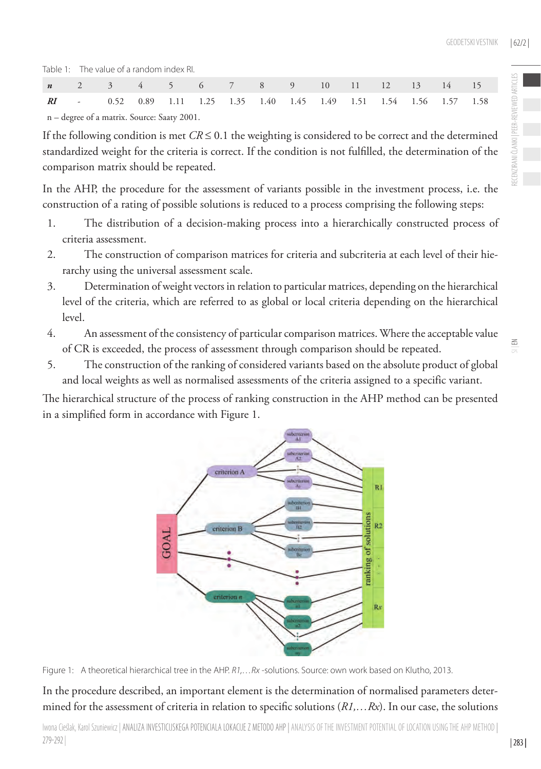RECENZIRANI ČLANKI | PEER-REVIEWED ARTICLES

RECENZIRANI ČLANKI I PEER-REVIEWED ARTICL

 $\leq$ 

Table 1: The value of a random index RI.

|                                             | <b>n</b> 2 3 4 5 6 7 8 9 10 11 12 13 14 15                                   |  |  |  |  |  |  |  |  |  |  |  |
|---------------------------------------------|------------------------------------------------------------------------------|--|--|--|--|--|--|--|--|--|--|--|
|                                             | <b>RI</b> - 0.52 0.89 1.11 1.25 1.35 1.40 1.45 1.49 1.51 1.54 1.56 1.57 1.58 |  |  |  |  |  |  |  |  |  |  |  |
| n – degree of a matrix. Source: Saaty 2001. |                                                                              |  |  |  |  |  |  |  |  |  |  |  |

If the following condition is met  $CR \le 0.1$  the weighting is considered to be correct and the determined standardized weight for the criteria is correct. If the condition is not fulfilled, the determination of the comparison matrix should be repeated.

In the AHP, the procedure for the assessment of variants possible in the investment process, i.e. the construction of a rating of possible solutions is reduced to a process comprising the following steps:

- 1. The distribution of a decision-making process into a hierarchically constructed process of criteria assessment.
- 2. The construction of comparison matrices for criteria and subcriteria at each level of their hierarchy using the universal assessment scale.
- 3. Determination of weight vectors in relation to particular matrices, depending on the hierarchical level of the criteria, which are referred to as global or local criteria depending on the hierarchical level.
- 4. An assessment of the consistency of particular comparison matrices. Where the acceptable value of CR is exceeded, the process of assessment through comparison should be repeated.
- 5. The construction of the ranking of considered variants based on the absolute product of global and local weights as well as normalised assessments of the criteria assigned to a specific variant.

The hierarchical structure of the process of ranking construction in the AHP method can be presented in a simplified form in accordance with Figure 1.



Figure 1: A theoretical hierarchical tree in the AHP. *R1,…Rx* -solutions. Source: own work based on Klutho, 2013.

In the procedure described, an important element is the determination of normalised parameters determined for the assessment of criteria in relation to specific solutions (*R1,…Rx*). In our case, the solutions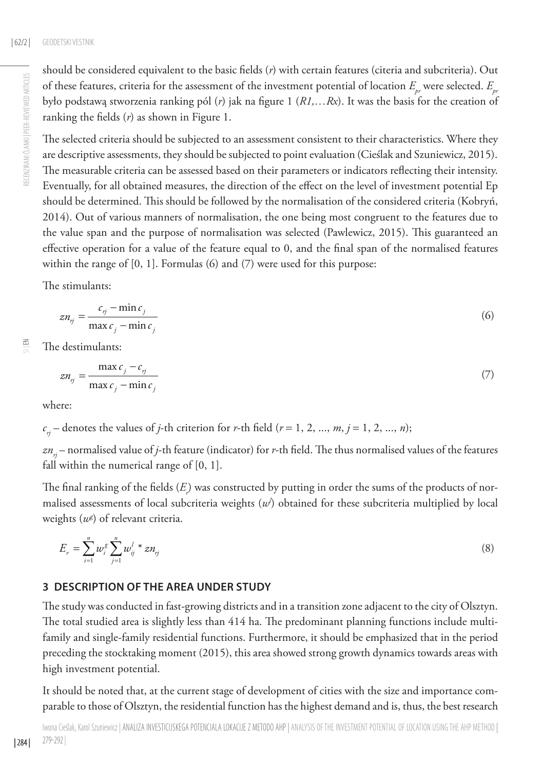should be considered equivalent to the basic fields (*r*) with certain features (citeria and subcriteria). Out of these features, criteria for the assessment of the investment potential of location  $E_{ir}$  were selected.  $E_{ir}$ było podstawą stworzenia ranking pól (*r*) jak na figure 1 (*R1,…Rx*). It was the basis for the creation of ranking the fields (*r*) as shown in Figure 1.

The selected criteria should be subjected to an assessment consistent to their characteristics. Where they are descriptive assessments, they should be subjected to point evaluation (Cieślak and Szuniewicz, 2015). The measurable criteria can be assessed based on their parameters or indicators reflecting their intensity. Eventually, for all obtained measures, the direction of the effect on the level of investment potential Ep should be determined. This should be followed by the normalisation of the considered criteria (Kobryń, 2014). Out of various manners of normalisation, the one being most congruent to the features due to the value span and the purpose of normalisation was selected (Pawlewicz, 2015). This guaranteed an effective operation for a value of the feature equal to 0, and the final span of the normalised features within the range of  $[0, 1]$ . Formulas  $(6)$  and  $(7)$  were used for this purpose:

The stimulants:

$$
zn_{rj} = \frac{c_{rj} - \min c_j}{\max c_j - \min c_j} \tag{6}
$$

 $\leq$ The destimulants:

$$
zn_{rj} = \frac{\max c_j - c_{rj}}{\max c_j - \min c_j} \tag{7}
$$

where:

 $c_n$  – denotes the values of *j*-th criterion for *r*-th field (*r* = 1, 2, ..., *m*, *j* = 1, 2, ..., *n*);

*znrj* – normalised value of *j*-th feature (indicator) for *r*-th field. The thus normalised values of the features fall within the numerical range of [0, 1].

The final ranking of the fields  $(E)$  was constructed by putting in order the sums of the products of normalised assessments of local subcriteria weights  $(w')$  obtained for these subcriteria multiplied by local weights (*wg* ) of relevant criteria.

$$
E_r = \sum_{i=1}^n w_i^g \sum_{j=1}^n w_{ij}^{l} * z n_{ij}
$$
\n(8)

# **3 DESCRIPTION OF THE AREA UNDER STUDY**

The study was conducted in fast-growing districts and in a transition zone adjacent to the city of Olsztyn. The total studied area is slightly less than 414 ha. The predominant planning functions include multifamily and single-family residential functions. Furthermore, it should be emphasized that in the period preceding the stocktaking moment (2015), this area showed strong growth dynamics towards areas with high investment potential.

It should be noted that, at the current stage of development of cities with the size and importance comparable to those of Olsztyn, the residential function has the highest demand and is, thus, the best research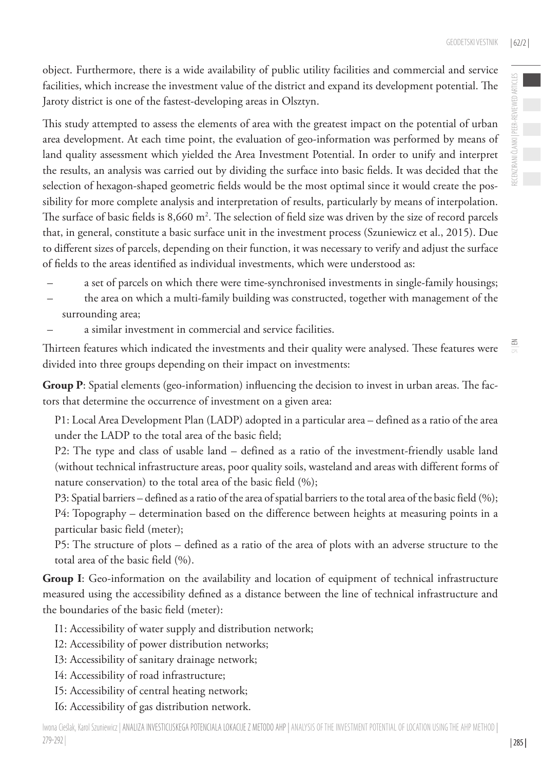$\leq$ 

object. Furthermore, there is a wide availability of public utility facilities and commercial and service facilities, which increase the investment value of the district and expand its development potential. The Jaroty district is one of the fastest-developing areas in Olsztyn.

This study attempted to assess the elements of area with the greatest impact on the potential of urban area development. At each time point, the evaluation of geo-information was performed by means of land quality assessment which yielded the Area Investment Potential. In order to unify and interpret the results, an analysis was carried out by dividing the surface into basic fields. It was decided that the selection of hexagon-shaped geometric fields would be the most optimal since it would create the possibility for more complete analysis and interpretation of results, particularly by means of interpolation. The surface of basic fields is  $8,660 \text{ m}^2$ . The selection of field size was driven by the size of record parcels that, in general, constitute a basic surface unit in the investment process (Szuniewicz et al., 2015). Due to different sizes of parcels, depending on their function, it was necessary to verify and adjust the surface of fields to the areas identified as individual investments, which were understood as:

- a set of parcels on which there were time-synchronised investments in single-family housings;
- the area on which a multi-family building was constructed, together with management of the surrounding area;
- a similar investment in commercial and service facilities.

Thirteen features which indicated the investments and their quality were analysed. These features were divided into three groups depending on their impact on investments:

**Group P**: Spatial elements (geo-information) influencing the decision to invest in urban areas. The factors that determine the occurrence of investment on a given area:

P1: Local Area Development Plan (LADP) adopted in a particular area – defined as a ratio of the area under the LADP to the total area of the basic field;

P2: The type and class of usable land – defined as a ratio of the investment-friendly usable land (without technical infrastructure areas, poor quality soils, wasteland and areas with different forms of nature conservation) to the total area of the basic field (%);

P3: Spatial barriers – defined as a ratio of the area of spatial barriers to the total area of the basic field (%); P4: Topography – determination based on the difference between heights at measuring points in a particular basic field (meter);

P5: The structure of plots – defined as a ratio of the area of plots with an adverse structure to the total area of the basic field (%).

**Group I**: Geo-information on the availability and location of equipment of technical infrastructure measured using the accessibility defined as a distance between the line of technical infrastructure and the boundaries of the basic field (meter):

- I1: Accessibility of water supply and distribution network;
- I2: Accessibility of power distribution networks;
- I3: Accessibility of sanitary drainage network;
- I4: Accessibility of road infrastructure;
- I5: Accessibility of central heating network;
- I6: Accessibility of gas distribution network.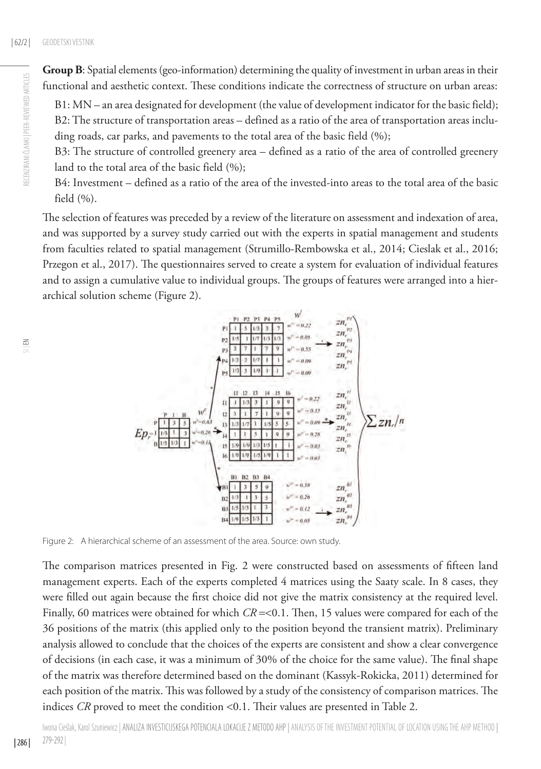**Group B**: Spatial elements (geo-information) determining the quality of investment in urban areas in their functional and aesthetic context. These conditions indicate the correctness of structure on urban areas:

B1: MN – an area designated for development (the value of development indicator for the basic field); B2: The structure of transportation areas – defined as a ratio of the area of transportation areas including roads, car parks, and pavements to the total area of the basic field (%);

B3: The structure of controlled greenery area – defined as a ratio of the area of controlled greenery land to the total area of the basic field (%);

B4: Investment – defined as a ratio of the area of the invested-into areas to the total area of the basic field (%).

The selection of features was preceded by a review of the literature on assessment and indexation of area, and was supported by a survey study carried out with the experts in spatial management and students from faculties related to spatial management (Strumillo-Rembowska et al., 2014; Cieslak et al., 2016; Przegon et al., 2017). The questionnaires served to create a system for evaluation of individual features and to assign a cumulative value to individual groups. The groups of features were arranged into a hierarchical solution scheme (Figure 2).

RECENZIRANI ČLANKI | PEER-REVIEWED ARTICLES

RECENZIRANI ČLANKI I PEER-REVIEWED ARTICLES



Figure 2: A hierarchical scheme of an assessment of the area. Source: own study.

The comparison matrices presented in Fig. 2 were constructed based on assessments of fifteen land management experts. Each of the experts completed 4 matrices using the Saaty scale. In 8 cases, they were filled out again because the first choice did not give the matrix consistency at the required level. Finally, 60 matrices were obtained for which *CR* =<0.1. Then, 15 values were compared for each of the 36 positions of the matrix (this applied only to the position beyond the transient matrix). Preliminary analysis allowed to conclude that the choices of the experts are consistent and show a clear convergence of decisions (in each case, it was a minimum of 30% of the choice for the same value). The final shape of the matrix was therefore determined based on the dominant (Kassyk-Rokicka, 2011) determined for each position of the matrix. This was followed by a study of the consistency of comparison matrices. The indices *CR* proved to meet the condition <0.1. Their values are presented in Table 2.

Iwona Cieślak, Karol Szuniewicz | Analiza investicijskega potenciala lokacije z metodo AHP | Analysis of the investment potential of location using the AHP method | 279-292 |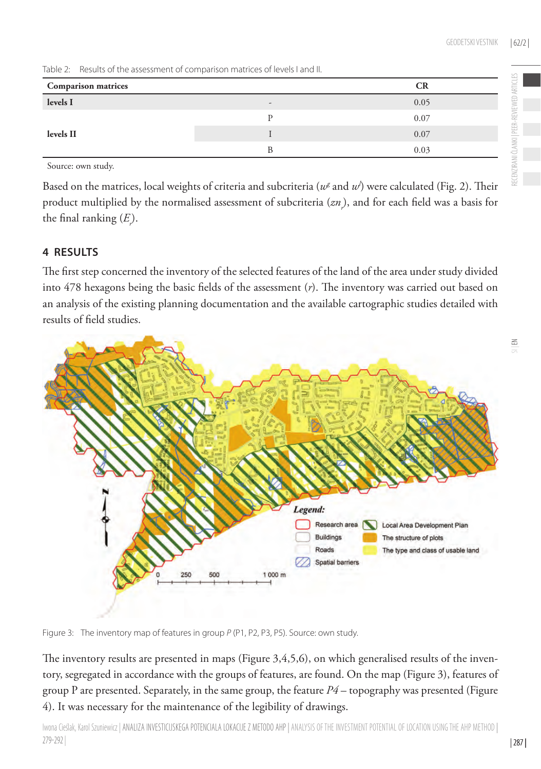$\leq$ 

| <b>Comparison matrices</b> | CК                       |      |
|----------------------------|--------------------------|------|
| levels I                   | $\overline{\phantom{0}}$ | 0.05 |
|                            |                          | 0.07 |
| levels II                  |                          | 0.07 |
|                            |                          | 0.03 |

Source: own study.

Based on the matrices, local weights of criteria and subcriteria ( $u^{\rm g}$  and  $u^{\prime}$ ) were calculated (Fig. 2). Their product multiplied by the normalised assessment of subcriteria (*znr* ), and for each field was a basis for the final ranking  $(E)$ .

#### **4 RESULTS**

The first step concerned the inventory of the selected features of the land of the area under study divided into 478 hexagons being the basic fields of the assessment (*r*). The inventory was carried out based on an analysis of the existing planning documentation and the available cartographic studies detailed with results of field studies.



Figure 3: The inventory map of features in group *P* (P1, P2, P3, P5). Source: own study.

The inventory results are presented in maps (Figure 3,4,5,6), on which generalised results of the inventory, segregated in accordance with the groups of features, are found. On the map (Figure 3), features of group P are presented. Separately, in the same group, the feature *P4* – topography was presented (Figure 4). It was necessary for the maintenance of the legibility of drawings.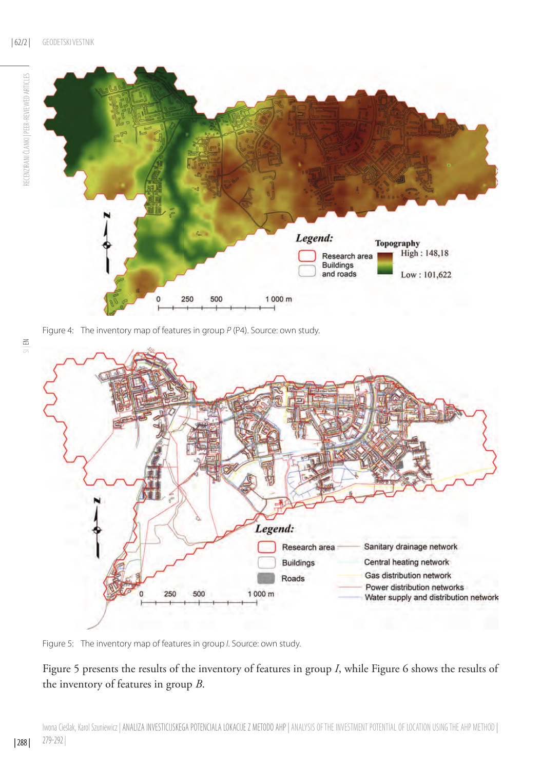

Figure 4: The inventory map of features in group *P* (P4). Source: own study.



Figure 5: The inventory map of features in group *I*. Source: own study.

# Figure 5 presents the results of the inventory of features in group *I*, while Figure 6 shows the results of the inventory of features in group *B*.

SI | EN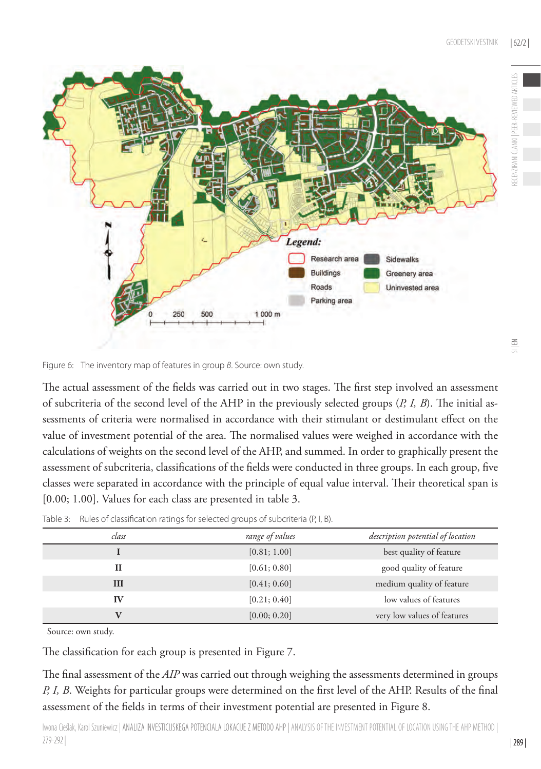

Figure 6: The inventory map of features in group *B*. Source: own study.

The actual assessment of the fields was carried out in two stages. The first step involved an assessment of subcriteria of the second level of the AHP in the previously selected groups (*P, I, B*). The initial assessments of criteria were normalised in accordance with their stimulant or destimulant effect on the value of investment potential of the area. The normalised values were weighed in accordance with the calculations of weights on the second level of the AHP, and summed. In order to graphically present the assessment of subcriteria, classifications of the fields were conducted in three groups. In each group, five classes were separated in accordance with the principle of equal value interval. Their theoretical span is [0.00; 1.00]. Values for each class are presented in table 3.

| class | range of values | description potential of location |
|-------|-----------------|-----------------------------------|
|       | [0.81; 1.00]    | best quality of feature           |
| П     | [0.61; 0.80]    | good quality of feature           |
| Ш     | [0.41; 0.60]    | medium quality of feature         |
| IV    | [0.21; 0.40]    | low values of features            |
|       | [0.00; 0.20]    | very low values of features       |

Table 3: Rules of classification ratings for selected groups of subcriteria (P, I, B).

Source: own study.

The classification for each group is presented in Figure 7.

The final assessment of the *AIP* was carried out through weighing the assessments determined in groups *P, I, B*. Weights for particular groups were determined on the first level of the AHP. Results of the final assessment of the fields in terms of their investment potential are presented in Figure 8.

Iwona Cieślak, Karol Szuniewicz | ANALIZA INVESTICIJSKEGA POTENCIALA LOKACIJE Z METODO AHP | ANALYSIS OF THE INVESTMENT POTENTIAL OF LOCATION USING THE AHP METHOD | 279-292 |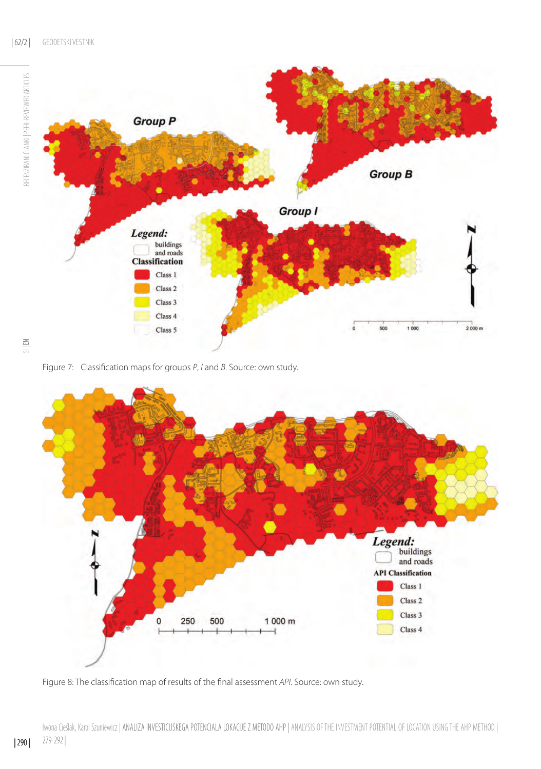

RECENZIRANI ČLANKI I PEER-REVIEWED ARTICLES

Figure 7: Classification maps for groups *P*, *I* and *B*. Source: own study.



Figure 8: The classification map of results of the final assessment *API*. Source: own study.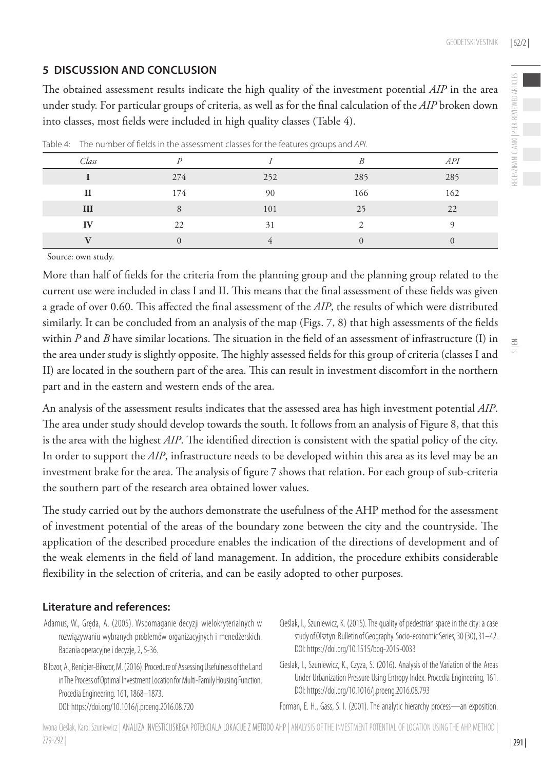# **5 DISCUSSION AND CONCLUSION**

The obtained assessment results indicate the high quality of the investment potential *AIP* in the area under study. For particular groups of criteria, as well as for the final calculation of the *AIP* broken down into classes, most fields were included in high quality classes (Table 4).

| Class        |     |     |     | API |
|--------------|-----|-----|-----|-----|
|              | 274 | 252 | 285 | 285 |
| $\mathbf{I}$ | 174 | 90  | 166 | 162 |
| III          | 8   | 101 | 25  | 22  |
| IV           | 22  | 31  |     |     |
|              |     |     |     |     |

Table 4: The number of fields in the assessment classes for the features groups and *API*.

Source: own study.

More than half of fields for the criteria from the planning group and the planning group related to the current use were included in class I and II. This means that the final assessment of these fields was given a grade of over 0.60. This affected the final assessment of the *AIP*, the results of which were distributed similarly. It can be concluded from an analysis of the map (Figs. 7, 8) that high assessments of the fields within *P* and *B* have similar locations. The situation in the field of an assessment of infrastructure (I) in the area under study is slightly opposite. The highly assessed fields for this group of criteria (classes I and II) are located in the southern part of the area. This can result in investment discomfort in the northern part and in the eastern and western ends of the area.

An analysis of the assessment results indicates that the assessed area has high investment potential *AIP*. The area under study should develop towards the south. It follows from an analysis of Figure 8, that this is the area with the highest *AIP*. The identified direction is consistent with the spatial policy of the city. In order to support the *AIP*, infrastructure needs to be developed within this area as its level may be an investment brake for the area. The analysis of figure 7 shows that relation. For each group of sub-criteria the southern part of the research area obtained lower values.

The study carried out by the authors demonstrate the usefulness of the AHP method for the assessment of investment potential of the areas of the boundary zone between the city and the countryside. The application of the described procedure enables the indication of the directions of development and of the weak elements in the field of land management. In addition, the procedure exhibits considerable flexibility in the selection of criteria, and can be easily adopted to other purposes.

## **Literature and references:**

- Adamus, W., Gręda, A. (2005). Wspomaganie decyzji wielokryterialnych w rozwiązywaniu wybranych problemów organizacyjnych i menedżerskich. Badania operacyjne i decyzje, 2, 5-36.
- Biłozor, A., Renigier-Biłozor, M. (2016). Procedure of Assessing Usefulness of the Land in The Process of Optimal Investment Location for Multi-Family Housing Function. Procedia Engineering. 161, 1868–1873. DOI: https://doi.org/10.1016/j.proeng.2016.08.720
- Cieślak, I., Szuniewicz, K. (2015). The quality of pedestrian space in the city: a case study of Olsztyn. Bulletin of Geography. Socio-economic Series, 30 (30), 31–42. DOI: https://doi.org/10.1515/bog-2015-0033
- Cieslak, I., Szuniewicz, K., Czyza, S. (2016). Analysis of the Variation of the Areas Under Urbanization Pressure Using Entropy Index. Procedia Engineering, 161. DOI: https://doi.org/10.1016/j.proeng.2016.08.793

Forman, E. H., Gass, S. I. (2001). The analytic hierarchy process—an exposition.

Iwona Cieślak, Karol Szuniewicz | ANALIZA INVESTICIJSKEGA POTENCIALA LOKACIJE Z METODO AHP | ANALYSIS OF THE INVESTMENT POTENTIAL OF LOCATION USING THE AHP METHOD | 279-292 |

 $\leq$